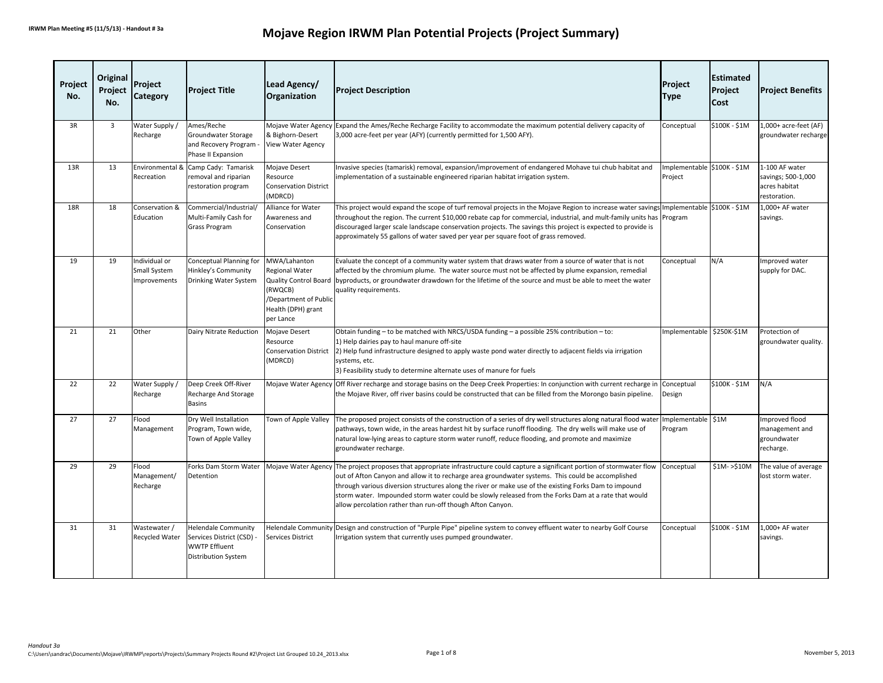| Project<br>No. | Original<br>Project<br>No. | Project<br><b>Category</b>                    | <b>Project Title</b>                                                                                          | Lead Agency/<br>Organization                                                                                                          | <b>Project Description</b>                                                                                                                                                                                                                                                                                                                                                                                                                                                                                         | Project<br><b>Type</b>                 | <b>Estimated</b><br>Project<br>Cost | <b>Project Benefits</b>                                               |
|----------------|----------------------------|-----------------------------------------------|---------------------------------------------------------------------------------------------------------------|---------------------------------------------------------------------------------------------------------------------------------------|--------------------------------------------------------------------------------------------------------------------------------------------------------------------------------------------------------------------------------------------------------------------------------------------------------------------------------------------------------------------------------------------------------------------------------------------------------------------------------------------------------------------|----------------------------------------|-------------------------------------|-----------------------------------------------------------------------|
| 3R             | $\overline{3}$             | Water Supply /<br>Recharge                    | Ames/Reche<br>Groundwater Storage<br>and Recovery Program<br>Phase II Expansion                               | Mojave Water Agency<br>& Bighorn-Desert<br>View Water Agency                                                                          | Expand the Ames/Reche Recharge Facility to accommodate the maximum potential delivery capacity of<br>3,000 acre-feet per year (AFY) (currently permitted for 1,500 AFY).                                                                                                                                                                                                                                                                                                                                           | Conceptual                             | \$100K - \$1M                       | 1,000+ acre-feet (AF)<br>groundwater recharge                         |
| 13R            | 13                         | Environmental &<br>Recreation                 | Camp Cady: Tamarisk<br>removal and riparian<br>restoration program                                            | Mojave Desert<br>Resource<br><b>Conservation District</b><br>(MDRCD)                                                                  | Invasive species (tamarisk) removal, expansion/improvement of endangered Mohave tui chub habitat and<br>implementation of a sustainable engineered riparian habitat irrigation system.                                                                                                                                                                                                                                                                                                                             | Implementable \$100K - \$1M<br>Project |                                     | 1-100 AF water<br>savings; 500-1,000<br>acres habitat<br>restoration. |
| <b>18R</b>     | 18                         | Conservation &<br>Education                   | Commercial/Industrial/<br>Multi-Family Cash for<br><b>Grass Program</b>                                       | Alliance for Water<br>Awareness and<br>Conservation                                                                                   | This project would expand the scope of turf removal projects in the Mojave Region to increase water savings Implementable S100K - \$1M<br>throughout the region. The current \$10,000 rebate cap for commercial, industrial, and mult-family units has<br>discouraged larger scale landscape conservation projects. The savings this project is expected to provide is<br>approximately 55 gallons of water saved per year per square foot of grass removed.                                                       | Program                                |                                     | 1,000+ AF water<br>savings.                                           |
| 19             | 19                         | Individual or<br>Small System<br>Improvements | Conceptual Planning for<br>Hinkley's Community<br>Drinking Water System                                       | MWA/Lahanton<br><b>Regional Water</b><br>Quality Control Board<br>(RWQCB)<br>/Department of Public<br>Health (DPH) grant<br>per Lance | Evaluate the concept of a community water system that draws water from a source of water that is not<br>affected by the chromium plume. The water source must not be affected by plume expansion, remedial<br>byproducts, or groundwater drawdown for the lifetime of the source and must be able to meet the water<br>quality requirements.                                                                                                                                                                       | Conceptual                             | N/A                                 | Improved water<br>supply for DAC.                                     |
| 21             | 21                         | Other                                         | Dairy Nitrate Reduction                                                                                       | Mojave Desert<br>Resource<br><b>Conservation District</b><br>(MDRCD)                                                                  | Obtain funding - to be matched with NRCS/USDA funding - a possible 25% contribution - to:<br>1) Help dairies pay to haul manure off-site<br>[2] Help fund infrastructure designed to apply waste pond water directly to adjacent fields via irrigation<br>systems, etc.<br>3) Feasibility study to determine alternate uses of manure for fuels                                                                                                                                                                    | Implementable                          | \$250K-\$1M                         | Protection of<br>groundwater quality.                                 |
| 22             | 22                         | Water Supply /<br>Recharge                    | Deep Creek Off-River<br>Recharge And Storage<br><b>Basins</b>                                                 |                                                                                                                                       | Mojave Water Agency Off River recharge and storage basins on the Deep Creek Properties: In conjunction with current recharge in<br>the Mojave River, off river basins could be constructed that can be filled from the Morongo basin pipeline.                                                                                                                                                                                                                                                                     | Conceptual<br>Design                   | \$100K - \$1M                       | N/A                                                                   |
| 27             | 27                         | Flood<br>Management                           | Dry Well Installation<br>Program, Town wide,<br>Town of Apple Valley                                          | Town of Apple Valley                                                                                                                  | The proposed project consists of the construction of a series of dry well structures along natural flood water<br>pathways, town wide, in the areas hardest hit by surface runoff flooding. The dry wells will make use of<br>natural low-lying areas to capture storm water runoff, reduce flooding, and promote and maximize<br>groundwater recharge.                                                                                                                                                            | Implementable \$1M<br>Program          |                                     | Improved flood<br>management and<br>groundwater<br>recharge.          |
| 29             | 29                         | Flood<br>Management/<br>Recharge              | Forks Dam Storm Water<br>Detention                                                                            |                                                                                                                                       | Mojave Water Agency The project proposes that appropriate infrastructure could capture a significant portion of stormwater flow<br>out of Afton Canyon and allow it to recharge area groundwater systems. This could be accomplished<br>through various diversion structures along the river or make use of the existing Forks Dam to impound<br>storm water. Impounded storm water could be slowly released from the Forks Dam at a rate that would<br>allow percolation rather than run-off though Afton Canyon. | Conceptual                             | $$1M->$10M$                         | The value of average<br>lost storm water.                             |
| 31             | 31                         | Wastewater /<br>Recycled Water                | <b>Helendale Community</b><br>Services District (CSD) -<br><b>WWTP Effluent</b><br><b>Distribution System</b> | Services District                                                                                                                     | Helendale Community Design and construction of "Purple Pipe" pipeline system to convey effluent water to nearby Golf Course<br>rrigation system that currently uses pumped groundwater.                                                                                                                                                                                                                                                                                                                            | Conceptual                             | \$100K - \$1M                       | 1,000+ AF water<br>savings.                                           |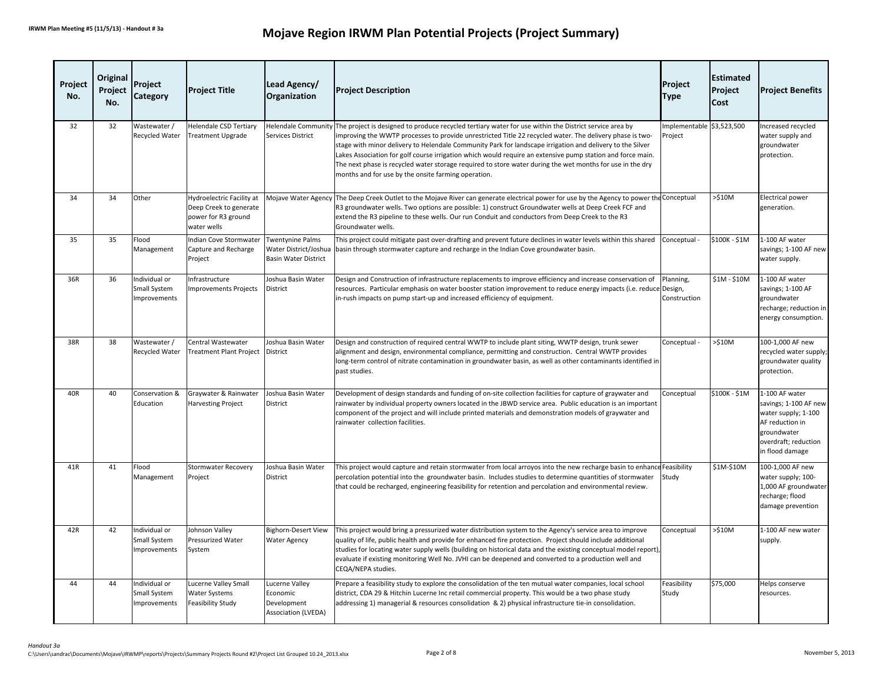| Project<br>No. | Original<br>Project<br>No. | Project<br>Category                           | <b>Project Title</b>                                                                      | Lead Agency/<br>Organization                                                    | <b>Project Description</b>                                                                                                                                                                                                                                                                                                                                                                                                                                                                                                                                                                                                            | Project<br><b>Type</b>               | <b>Estimated</b><br>Project<br>Cost | <b>Project Benefits</b>                                                                                                                     |
|----------------|----------------------------|-----------------------------------------------|-------------------------------------------------------------------------------------------|---------------------------------------------------------------------------------|---------------------------------------------------------------------------------------------------------------------------------------------------------------------------------------------------------------------------------------------------------------------------------------------------------------------------------------------------------------------------------------------------------------------------------------------------------------------------------------------------------------------------------------------------------------------------------------------------------------------------------------|--------------------------------------|-------------------------------------|---------------------------------------------------------------------------------------------------------------------------------------------|
| 32             | 32                         | Wastewater /<br><b>Recycled Water</b>         | <b>Helendale CSD Tertiary</b><br><b>Treatment Upgrade</b>                                 | Services District                                                               | Helendale Community The project is designed to produce recycled tertiary water for use within the District service area by<br>improving the WWTP processes to provide unrestricted Title 22 recycled water. The delivery phase is two-<br>stage with minor delivery to Helendale Community Park for landscape irrigation and delivery to the Silver<br>Lakes Association for golf course irrigation which would require an extensive pump station and force main.<br>The next phase is recycled water storage required to store water during the wet months for use in the dry<br>months and for use by the onsite farming operation. | Implementable \$3,523,500<br>Project |                                     | Increased recycled<br>water supply and<br>groundwater<br>protection.                                                                        |
| 34             | 34                         | Other                                         | Hydroelectric Facility at<br>Deep Creek to generate<br>power for R3 ground<br>water wells |                                                                                 | Mojave Water Agency The Deep Creek Outlet to the Mojave River can generate electrical power for use by the Agency to power the Conceptual<br>R3 groundwater wells. Two options are possible: 1) construct Groundwater wells at Deep Creek FCF and<br>extend the R3 pipeline to these wells. Our run Conduit and conductors from Deep Creek to the R3<br>Groundwater wells.                                                                                                                                                                                                                                                            |                                      | $>510M$                             | <b>Electrical power</b><br>generation.                                                                                                      |
| 35             | 35                         | Flood<br>Management                           | Indian Cove Stormwater<br>Capture and Recharge<br>Project                                 | <b>Twentynine Palms</b><br>Water District/Joshua<br><b>Basin Water District</b> | This project could mitigate past over-drafting and prevent future declines in water levels within this shared<br>basin through stormwater capture and recharge in the Indian Cove groundwater basin.                                                                                                                                                                                                                                                                                                                                                                                                                                  | Conceptual                           | \$100K - \$1M                       | 1-100 AF water<br>savings; 1-100 AF new<br>water supply.                                                                                    |
| 36R            | 36                         | Individual or<br>Small System<br>Improvements | Infrastructure<br><b>Improvements Projects</b>                                            | Joshua Basin Water<br>District                                                  | Design and Construction of infrastructure replacements to improve efficiency and increase conservation of<br>resources. Particular emphasis on water booster station improvement to reduce energy impacts (i.e. reduce Design,<br>in-rush impacts on pump start-up and increased efficiency of equipment.                                                                                                                                                                                                                                                                                                                             | Planning,<br>Construction            | \$1M - \$10M                        | 1-100 AF water<br>savings; 1-100 AF<br>groundwater<br>recharge; reduction in<br>energy consumption.                                         |
| 38R            | 38                         | Wastewater /<br>Recycled Water                | Central Wastewater<br>Treatment Plant Project                                             | Joshua Basin Water<br>District                                                  | Design and construction of required central WWTP to include plant siting, WWTP design, trunk sewer<br>alignment and design, environmental compliance, permitting and construction. Central WWTP provides<br>long-term control of nitrate contamination in groundwater basin, as well as other contaminants identified in<br>past studies.                                                                                                                                                                                                                                                                                             | Conceptual -                         | $>510M$                             | 100-1,000 AF new<br>recycled water supply<br>groundwater quality<br>protection.                                                             |
| 40R            | 40                         | Conservation &<br>Education                   | Graywater & Rainwater<br><b>Harvesting Project</b>                                        | Joshua Basin Water<br>District                                                  | Development of design standards and funding of on-site collection facilities for capture of graywater and<br>rainwater by individual property owners located in the JBWD service area. Public education is an important<br>component of the project and will include printed materials and demonstration models of graywater and<br>rainwater collection facilities.                                                                                                                                                                                                                                                                  | Conceptual                           | \$100K - \$1M                       | 1-100 AF water<br>savings; 1-100 AF new<br>water supply; 1-100<br>AF reduction in<br>groundwater<br>overdraft; reduction<br>in flood damage |
| 41R            | 41                         | Flood<br>Management                           | <b>Stormwater Recovery</b><br>Project                                                     | Joshua Basin Water<br>District                                                  | This project would capture and retain stormwater from local arroyos into the new recharge basin to enhance Feasibility<br>percolation potential into the groundwater basin. Includes studies to determine quantities of stormwater<br>that could be recharged, engineering feasibility for retention and percolation and environmental review.                                                                                                                                                                                                                                                                                        | Study                                | \$1M-\$10M                          | 100-1,000 AF new<br>water supply; 100-<br>1,000 AF groundwater<br>recharge; flood<br>damage prevention                                      |
| 42R            | 42                         | Individual or<br>Small System<br>Improvements | Johnson Valley<br><b>Pressurized Water</b><br>System                                      | <b>Bighorn-Desert View</b><br><b>Water Agency</b>                               | This project would bring a pressurized water distribution system to the Agency's service area to improve<br>quality of life, public health and provide for enhanced fire protection. Project should include additional<br>studies for locating water supply wells (building on historical data and the existing conceptual model report),<br>evaluate if existing monitoring Well No. JVHI can be deepened and converted to a production well and<br>CEQA/NEPA studies.                                                                                                                                                               | Conceptual                           | >510M                               | 1-100 AF new water<br>supply.                                                                                                               |
| 44             | 44                         | Individual or<br>Small System<br>Improvements | <b>Lucerne Valley Small</b><br><b>Water Systems</b><br>Feasibility Study                  | Lucerne Valley<br>Economic<br>Development<br><b>Association (LVEDA)</b>         | Prepare a feasibility study to explore the consolidation of the ten mutual water companies, local school<br>district, CDA 29 & Hitchin Lucerne Inc retail commercial property. This would be a two phase study<br>addressing 1) managerial & resources consolidation & 2) physical infrastructure tie-in consolidation.                                                                                                                                                                                                                                                                                                               | Feasibility<br>Study                 | \$75,000                            | Helps conserve<br>resources.                                                                                                                |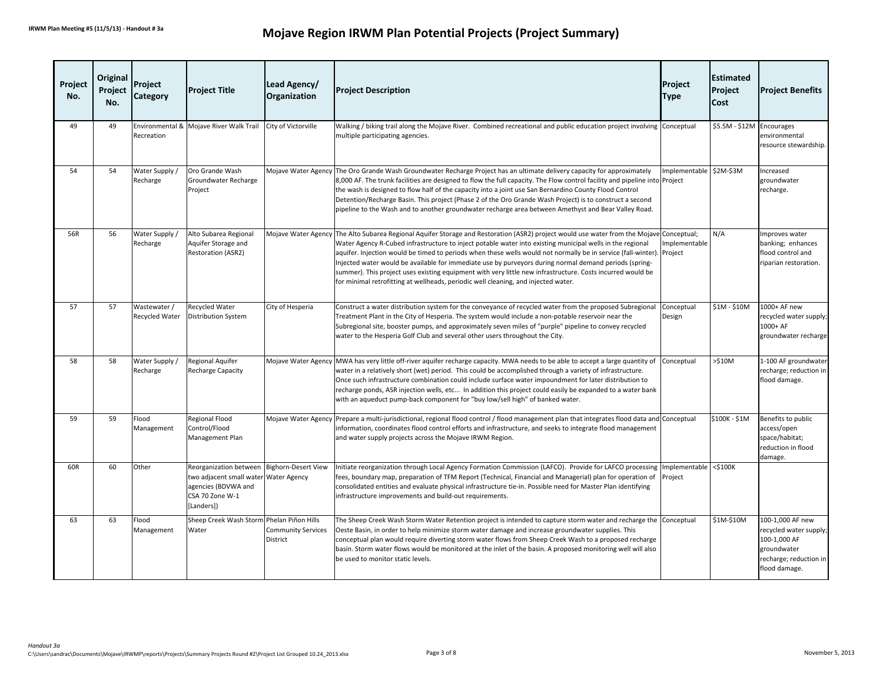| Project<br>No. | Original<br>Project<br>No. | Project<br><b>Category</b>     | <b>Project Title</b>                                                                                       | Lead Agency/<br>Organization                      | <b>Project Description</b>                                                                                                                                                                                                                                                                                                                                                                                                                                                                                                                                                                                                                                                                   | Project<br><b>Type</b>   | <b>Estimated</b><br>Project<br>Cost | <b>Project Benefits</b>                                                                                              |
|----------------|----------------------------|--------------------------------|------------------------------------------------------------------------------------------------------------|---------------------------------------------------|----------------------------------------------------------------------------------------------------------------------------------------------------------------------------------------------------------------------------------------------------------------------------------------------------------------------------------------------------------------------------------------------------------------------------------------------------------------------------------------------------------------------------------------------------------------------------------------------------------------------------------------------------------------------------------------------|--------------------------|-------------------------------------|----------------------------------------------------------------------------------------------------------------------|
| 49             | 49                         | Recreation                     | Environmental & Mojave River Walk Trail                                                                    | City of Victorville                               | Walking / biking trail along the Mojave River. Combined recreational and public education project involving Conceptual<br>multiple participating agencies.                                                                                                                                                                                                                                                                                                                                                                                                                                                                                                                                   |                          | \$5.5M - \$12M Encourages           | environmental<br>resource stewardship.                                                                               |
| 54             | 54                         | Water Supply /<br>Recharge     | Oro Grande Wash<br>Groundwater Recharge<br>Project                                                         |                                                   | Mojave Water Agency The Oro Grande Wash Groundwater Recharge Project has an ultimate delivery capacity for approximately<br>8,000 AF. The trunk facilities are designed to flow the full capacity. The Flow control facility and pipeline into Project<br>the wash is designed to flow half of the capacity into a joint use San Bernardino County Flood Control<br>Detention/Recharge Basin. This project (Phase 2 of the Oro Grande Wash Project) is to construct a second<br>pipeline to the Wash and to another groundwater recharge area between Amethyst and Bear Valley Road.                                                                                                         | Implementable \$2M-\$3M  |                                     | ncreased<br>groundwater<br>recharge.                                                                                 |
| 56R            | 56                         | Water Supply /<br>Recharge     | Alto Subarea Regional<br>Aquifer Storage and<br><b>Restoration (ASR2)</b>                                  |                                                   | Mojave Water Agency The Alto Subarea Regional Aquifer Storage and Restoration (ASR2) project would use water from the Mojave Conceptual;<br>Water Agency R-Cubed infrastructure to inject potable water into existing municipal wells in the regional<br>aquifer. Injection would be timed to periods when these wells would not normally be in service (fall-winter). Project<br>Injected water would be available for immediate use by purveyors during normal demand periods (spring-<br>summer). This project uses existing equipment with very little new infrastructure. Costs incurred would be<br>for minimal retrofitting at wellheads, periodic well cleaning, and injected water. | Implementable            | N/A                                 | Improves water<br>banking; enhances<br>flood control and<br>riparian restoration.                                    |
| 57             | 57                         | Wastewater /<br>Recycled Water | <b>Recycled Water</b><br><b>Distribution System</b>                                                        | City of Hesperia                                  | Construct a water distribution system for the conveyance of recycled water from the proposed Subregional<br>Treatment Plant in the City of Hesperia. The system would include a non-potable reservoir near the<br>Subregional site, booster pumps, and approximately seven miles of "purple" pipeline to convey recycled<br>water to the Hesperia Golf Club and several other users throughout the City.                                                                                                                                                                                                                                                                                     | Conceptual<br>Design     | \$1M - \$10M                        | 1000+ AF new<br>recycled water supply;<br>1000+ AF<br>groundwater recharge                                           |
| 58             | 58                         | Water Supply /<br>Recharge     | Regional Aquifer<br>Recharge Capacity                                                                      |                                                   | Mojave Water Agency MWA has very little off-river aquifer recharge capacity. MWA needs to be able to accept a large quantity of<br>water in a relatively short (wet) period. This could be accomplished through a variety of infrastructure.<br>Once such infrastructure combination could include surface water impoundment for later distribution to<br>recharge ponds, ASR injection wells, etc In addition this project could easily be expanded to a water bank<br>with an aqueduct pump-back component for "buy low/sell high" of banked water.                                                                                                                                        | Conceptual               | $>510M$                             | 1-100 AF groundwater<br>recharge; reduction in<br>flood damage.                                                      |
| 59             | 59                         | Flood<br>Management            | <b>Regional Flood</b><br>Control/Flood<br>Management Plan                                                  |                                                   | Mojave Water Agency Prepare a multi-jurisdictional, regional flood control / flood management plan that integrates flood data and Conceptual<br>information, coordinates flood control efforts and infrastructure, and seeks to integrate flood management<br>and water supply projects across the Mojave IRWM Region.                                                                                                                                                                                                                                                                                                                                                                       |                          | \$100K - \$1M                       | Benefits to public<br>access/open<br>space/habitat;<br>reduction in flood<br>damage.                                 |
| 60R            | 60                         | Other                          | Reorganization between<br>two adjacent small water<br>agencies (BDVWA and<br>CSA 70 Zone W-1<br>[Landers]) | <b>Bighorn-Desert View</b><br><b>Water Agency</b> | Initiate reorganization through Local Agency Formation Commission (LAFCO). Provide for LAFCO processing<br>fees, boundary map, preparation of TFM Report (Technical, Financial and Managerial) plan for operation of<br>consolidated entities and evaluate physical infrastructure tie-in. Possible need for Master Plan identifying<br>infrastructure improvements and build-out requirements.                                                                                                                                                                                                                                                                                              | Implementable<br>Project | $<$ \$100K                          |                                                                                                                      |
| 63             | 63                         | Flood<br>Management            | Sheep Creek Wash Storm Phelan Piñon Hills<br>Water                                                         | <b>Community Services</b><br>District             | The Sheep Creek Wash Storm Water Retention project is intended to capture storm water and recharge the Conceptual<br>Oeste Basin, in order to help minimize storm water damage and increase groundwater supplies. This<br>conceptual plan would require diverting storm water flows from Sheep Creek Wash to a proposed recharge<br>basin. Storm water flows would be monitored at the inlet of the basin. A proposed monitoring well will also<br>be used to monitor static levels.                                                                                                                                                                                                         |                          | \$1M-\$10M                          | 100-1,000 AF new<br>recycled water supply;<br>100-1,000 AF<br>groundwater<br>recharge; reduction in<br>flood damage. |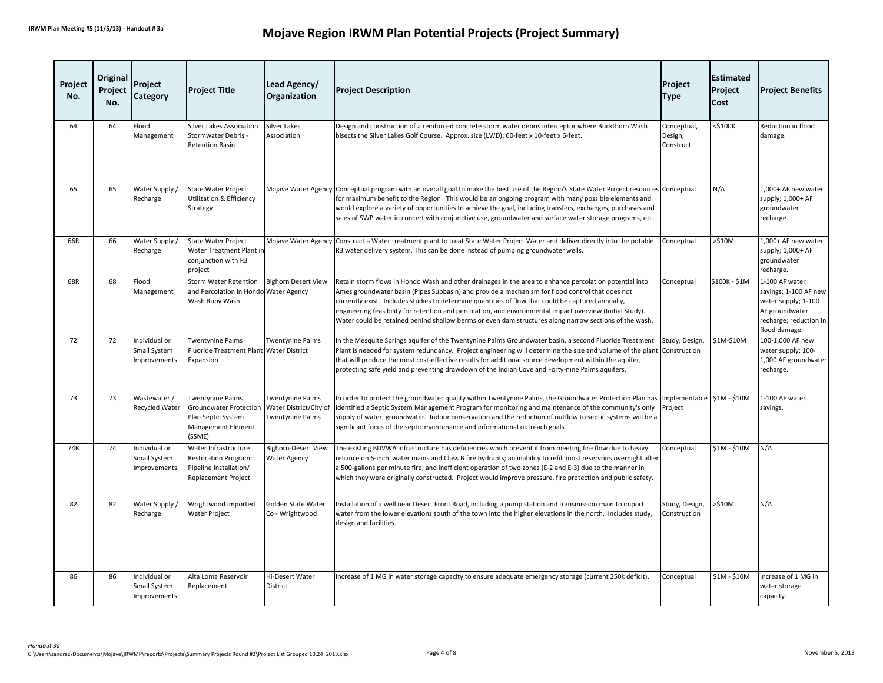| Project<br>No. | Original<br>Project<br>No. | Project<br>Category                           | <b>Project Title</b>                                                                                    | Lead Agency/<br><b>Organization</b>                                   | <b>Project Description</b>                                                                                                                                                                                                                                                                                                                                                                                                                                                                                                             | Project<br><b>Type</b>              | <b>Estimated</b><br>Project<br>Cost | <b>Project Benefits</b>                                                                                                     |
|----------------|----------------------------|-----------------------------------------------|---------------------------------------------------------------------------------------------------------|-----------------------------------------------------------------------|----------------------------------------------------------------------------------------------------------------------------------------------------------------------------------------------------------------------------------------------------------------------------------------------------------------------------------------------------------------------------------------------------------------------------------------------------------------------------------------------------------------------------------------|-------------------------------------|-------------------------------------|-----------------------------------------------------------------------------------------------------------------------------|
| 64             | 64                         | Flood<br>Management                           | <b>Silver Lakes Association</b><br>Stormwater Debris -<br><b>Retention Basin</b>                        | <b>Silver Lakes</b><br>Association                                    | Design and construction of a reinforced concrete storm water debris interceptor where Buckthorn Wash<br>bisects the Silver Lakes Golf Course. Approx. size (LWD): 60-feet x 10-feet x 6-feet.                                                                                                                                                                                                                                                                                                                                          | Conceptual,<br>Design,<br>Construct | $<$ \$100K                          | Reduction in flood<br>damage.                                                                                               |
| 65             | 65                         | Water Supply /<br>Recharge                    | <b>State Water Project</b><br><b>Utilization &amp; Efficiency</b><br>Strategy                           |                                                                       | Mojave Water Agency Conceptual program with an overall goal to make the best use of the Region's State Water Project resources Conceptual<br>for maximum benefit to the Region. This would be an ongoing program with many possible elements and<br>would explore a variety of opportunities to achieve the goal, including transfers, exchanges, purchases and<br>sales of SWP water in concert with conjunctive use, groundwater and surface water storage programs, etc.                                                            |                                     | N/A                                 | 1.000+ AF new water<br>supply; 1,000+ AF<br>groundwater<br>recharge.                                                        |
| 66R            | 66                         | Water Supply /<br>Recharge                    | State Water Project<br>Water Treatment Plant in<br>conjunction with R3<br>project                       |                                                                       | Mojave Water Agency Construct a Water treatment plant to treat State Water Project Water and deliver directly into the potable<br>R3 water delivery system. This can be done instead of pumping groundwater wells.                                                                                                                                                                                                                                                                                                                     | Conceptual                          | $>510M$                             | 1,000+ AF new water<br>supply; 1,000+ AF<br>groundwater<br>recharge.                                                        |
| 68R            | 68                         | Flood<br>Management                           | <b>Storm Water Retention</b><br>and Percolation in Hondo Water Agency<br>Wash Ruby Wash                 | <b>Bighorn Desert View</b>                                            | Retain storm flows in Hondo Wash and other drainages in the area to enhance percolation potential into<br>Ames groundwater basin (Pipes Subbasin) and provide a mechanism for flood control that does not<br>currently exist. Includes studies to determine quantities of flow that could be captured annually,<br>engineering feasibility for retention and percolation, and environmental impact overview (Initial Study).<br>Water could be retained behind shallow berms or even dam structures along narrow sections of the wash. | Conceptual                          | \$100K - \$1M                       | 1-100 AF water<br>savings; 1-100 AF new<br>water supply; 1-100<br>AF groundwater<br>recharge; reduction in<br>flood damage. |
| 72             | 72                         | Individual or<br>Small System<br>Improvements | Twentynine Palms<br>Fluoride Treatment Plant Water District<br>Expansion                                | <b>Twentynine Palms</b>                                               | In the Mesquite Springs aquifer of the Twentynine Palms Groundwater basin, a second Fluoride Treatment<br>Plant is needed for system redundancy. Project engineering will determine the size and volume of the plant<br>that will produce the most cost-effective results for additional source development within the aquifer,<br>protecting safe yield and preventing drawdown of the Indian Cove and Forty-nine Palms aquifers.                                                                                                     | Study, Design,<br>Construction      | \$1M-\$10M                          | 100-1,000 AF new<br>water supply; 100-<br>1,000 AF groundwater<br>recharge.                                                 |
| 73             | 73                         | Wastewater /<br>Recycled Water                | Twentynine Palms<br><b>Groundwater Protection</b><br>Plan Septic System<br>Management Element<br>(SSME) | Twentynine Palms<br>Water District/City of<br><b>Twentynine Palms</b> | In order to protect the groundwater quality within Twentynine Palms, the Groundwater Protection Plan has<br>identified a Septic System Management Program for monitoring and maintenance of the community's only<br>supply of water, groundwater. Indoor conservation and the reduction of outflow to septic systems will be a<br>significant focus of the septic maintenance and informational outreach goals.                                                                                                                        | Implementable<br>Project            | \$1M - \$10M                        | 1-100 AF water<br>savings.                                                                                                  |
| 74R            | 74                         | Individual or<br>Small System<br>mprovements  | Water Infrastructure<br><b>Restoration Program:</b><br>Pipeline Installation/<br>Replacement Project    | <b>Bighorn-Desert View</b><br><b>Water Agency</b>                     | The existing BDVWA infrastructure has deficiencies which prevent it from meeting fire flow due to heavy<br>reliance on 6-inch water mains and Class B fire hydrants; an inability to refill most reservoirs overnight after<br>a 500-gallons per minute fire; and inefficient operation of two zones (E-2 and E-3) due to the manner in<br>which they were originally constructed. Project would improve pressure, fire protection and public safety.                                                                                  | Conceptual                          | \$1M - \$10M                        | N/A                                                                                                                         |
| 82             | 82                         | Water Supply /<br>Recharge                    | Wrightwood Imported<br>Water Project                                                                    | Golden State Water<br>Co - Wrightwood                                 | Installation of a well near Desert Front Road, including a pump station and transmission main to import<br>water from the lower elevations south of the town into the higher elevations in the north. Includes study,<br>design and facilities.                                                                                                                                                                                                                                                                                        | Study, Design,<br>Construction      | $>510M$                             | N/A                                                                                                                         |
| 86             | 86                         | Individual or<br>Small System<br>Improvements | Alta Loma Reservoir<br>Replacement                                                                      | Hi-Desert Water<br>District                                           | Increase of 1 MG in water storage capacity to ensure adequate emergency storage (current 250k deficit).                                                                                                                                                                                                                                                                                                                                                                                                                                | Conceptual                          | \$1M - \$10M                        | Increase of 1 MG in<br>water storage<br>capacity.                                                                           |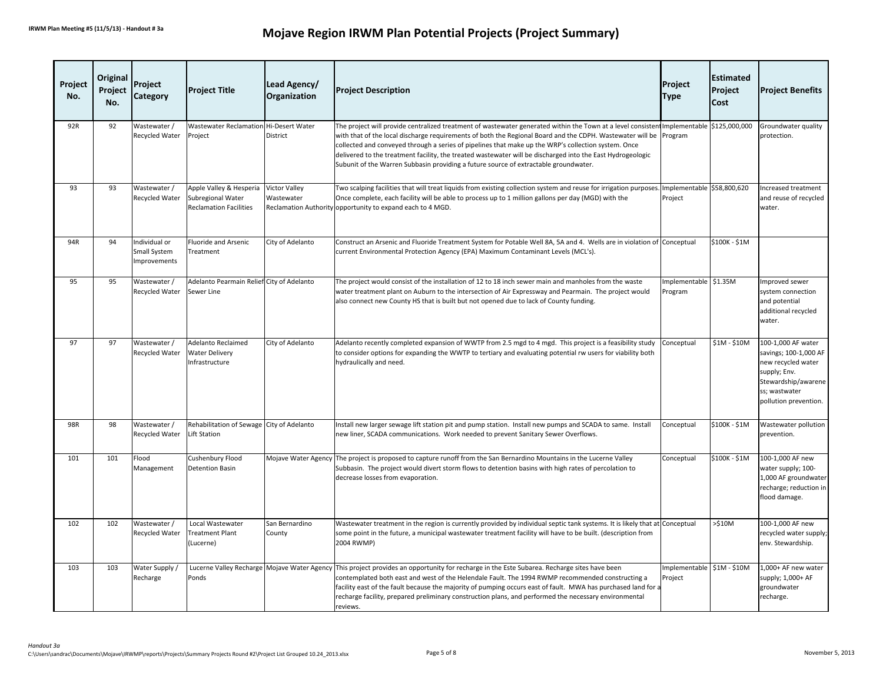| Project<br>No. | Original<br>Project<br>No. | Project<br><b>Category</b>                    | <b>Project Title</b>                                                          | Lead Agency/<br>Organization       | <b>Project Description</b>                                                                                                                                                                                                                                                                                                                                                                                                                                                                                                                                       | Project<br><b>Type</b>                | <b>Estimated</b><br><b>Project</b><br>Cost | <b>Project Benefits</b>                                                                                                                            |
|----------------|----------------------------|-----------------------------------------------|-------------------------------------------------------------------------------|------------------------------------|------------------------------------------------------------------------------------------------------------------------------------------------------------------------------------------------------------------------------------------------------------------------------------------------------------------------------------------------------------------------------------------------------------------------------------------------------------------------------------------------------------------------------------------------------------------|---------------------------------------|--------------------------------------------|----------------------------------------------------------------------------------------------------------------------------------------------------|
| 92R            | 92                         | Wastewater /<br><b>Recycled Water</b>         | <b>Wastewater Reclamation</b><br>Project                                      | Hi-Desert Water<br>District        | The project will provide centralized treatment of wastewater generated within the Town at a level consistent mplementable S125,000,000<br>with that of the local discharge requirements of both the Regional Board and the CDPH. Wastewater will be<br>collected and conveyed through a series of pipelines that make up the WRP's collection system. Once<br>delivered to the treatment facility, the treated wastewater will be discharged into the East Hydrogeologic<br>Subunit of the Warren Subbasin providing a future source of extractable groundwater. | Program                               |                                            | Groundwater quality<br>protection.                                                                                                                 |
| 93             | 93                         | Wastewater /<br>Recycled Water                | Apple Valley & Hesperia<br>Subregional Water<br><b>Reclamation Facilities</b> | <b>Victor Valley</b><br>Wastewater | Two scalping facilities that will treat liquids from existing collection system and reuse for irrigation purposes.<br>Once complete, each facility will be able to process up to 1 million gallons per day (MGD) with the<br>Reclamation Authority opportunity to expand each to 4 MGD.                                                                                                                                                                                                                                                                          | Implementable \$58,800,620<br>Project |                                            | Increased treatment<br>and reuse of recycled<br>water.                                                                                             |
| 94R            | 94                         | Individual or<br>Small System<br>Improvements | Fluoride and Arsenic<br>Treatment                                             | City of Adelanto                   | Construct an Arsenic and Fluoride Treatment System for Potable Well 8A, 5A and 4. Wells are in violation of Conceptual<br>current Environmental Protection Agency (EPA) Maximum Contaminant Levels (MCL's).                                                                                                                                                                                                                                                                                                                                                      |                                       | \$100K - \$1M                              |                                                                                                                                                    |
| 95             | 95                         | Wastewater /<br>Recycled Water                | Adelanto Pearmain Relief City of Adelanto<br>Sewer Line                       |                                    | The project would consist of the installation of 12 to 18 inch sewer main and manholes from the waste<br>water treatment plant on Auburn to the intersection of Air Expressway and Pearmain. The project would<br>also connect new County HS that is built but not opened due to lack of County funding.                                                                                                                                                                                                                                                         | Implementable \$1.35M<br>Program      |                                            | Improved sewer<br>system connection<br>and potential<br>additional recycled<br>water.                                                              |
| 97             | 97                         | Wastewater /<br>Recycled Water                | <b>Adelanto Reclaimed</b><br><b>Water Delivery</b><br>Infrastructure          | City of Adelanto                   | Adelanto recently completed expansion of WWTP from 2.5 mgd to 4 mgd. This project is a feasibility study<br>to consider options for expanding the WWTP to tertiary and evaluating potential rw users for viability both<br>hydraulically and need.                                                                                                                                                                                                                                                                                                               | Conceptual                            | \$1M - \$10M                               | 100-1,000 AF water<br>savings; 100-1,000 AF<br>new recycled water<br>supply; Env.<br>Stewardship/awarene<br>ss; wastwater<br>pollution prevention. |
| 98R            | 98                         | Wastewater /<br>Recycled Water                | Rehabilitation of Sewage City of Adelanto<br>Lift Station                     |                                    | Install new larger sewage lift station pit and pump station. Install new pumps and SCADA to same. Install<br>new liner, SCADA communications. Work needed to prevent Sanitary Sewer Overflows.                                                                                                                                                                                                                                                                                                                                                                   | Conceptual                            | \$100K - \$1M                              | Wastewater pollution<br>prevention.                                                                                                                |
| 101            | 101                        | Flood<br>Management                           | Cushenbury Flood<br><b>Detention Basin</b>                                    |                                    | Mojave Water Agency The project is proposed to capture runoff from the San Bernardino Mountains in the Lucerne Valley<br>Subbasin. The project would divert storm flows to detention basins with high rates of percolation to<br>decrease losses from evaporation.                                                                                                                                                                                                                                                                                               | Conceptual                            | \$100K - \$1M                              | 100-1,000 AF new<br>water supply; 100-<br>1,000 AF groundwater<br>recharge; reduction in<br>flood damage.                                          |
| 102            | 102                        | Wastewater /<br>Recycled Water                | Local Wastewater<br><b>Treatment Plant</b><br>(Lucerne)                       | San Bernardino<br>County           | Wastewater treatment in the region is currently provided by individual septic tank systems. It is likely that at Conceptual<br>some point in the future, a municipal wastewater treatment facility will have to be built. (description from<br>2004 RWMP)                                                                                                                                                                                                                                                                                                        |                                       | $>510M$                                    | 100-1,000 AF new<br>recycled water supply;<br>env. Stewardship.                                                                                    |
| 103            | 103                        | Water Supply /<br>Recharge                    | Ponds                                                                         |                                    | Lucerne Valley Recharge Mojave Water Agency This project provides an opportunity for recharge in the Este Subarea. Recharge sites have been<br>contemplated both east and west of the Helendale Fault. The 1994 RWMP recommended constructing a<br>facility east of the fault because the majority of pumping occurs east of fault. MWA has purchased land for a<br>recharge facility, prepared preliminary construction plans, and performed the necessary environmental<br>reviews.                                                                            | Implementable \$1M - \$10M<br>Project |                                            | 1,000+ AF new water<br>supply; 1,000+ AF<br>groundwater<br>recharge.                                                                               |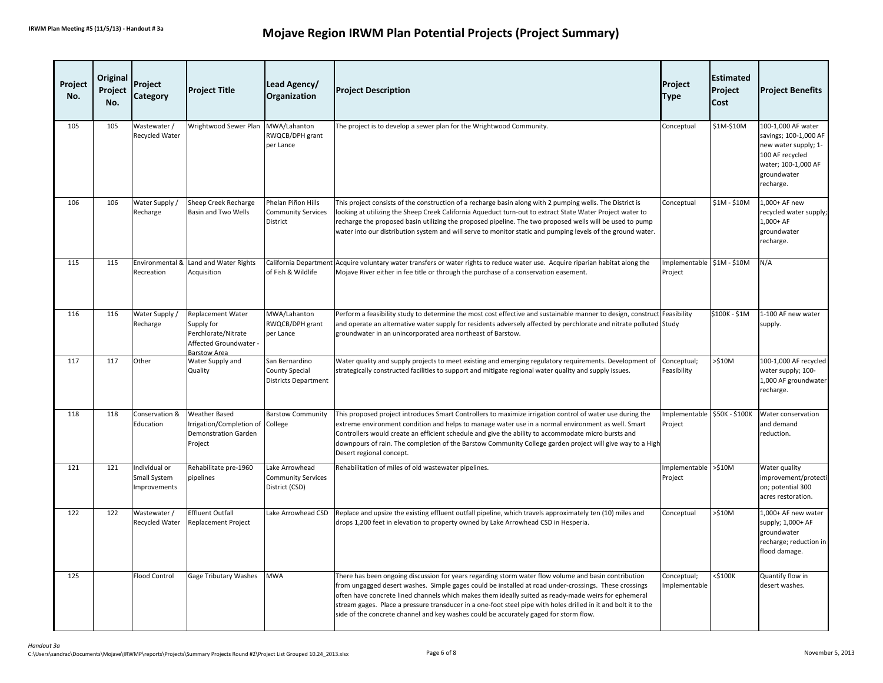| Project<br>No. | Original<br>Project<br>No. | Project<br>Category                           | <b>Project Title</b>                                                                             | Lead Agency/<br>Organization                                           | <b>Project Description</b>                                                                                                                                                                                                                                                                                                                                                                                                                                                                                                       | Project<br><b>Type</b>                | <b>Estimated</b><br>Project<br>Cost | <b>Project Benefits</b>                                                                                                                   |
|----------------|----------------------------|-----------------------------------------------|--------------------------------------------------------------------------------------------------|------------------------------------------------------------------------|----------------------------------------------------------------------------------------------------------------------------------------------------------------------------------------------------------------------------------------------------------------------------------------------------------------------------------------------------------------------------------------------------------------------------------------------------------------------------------------------------------------------------------|---------------------------------------|-------------------------------------|-------------------------------------------------------------------------------------------------------------------------------------------|
| 105            | 105                        | Wastewater /<br><b>Recycled Water</b>         | Wrightwood Sewer Plan                                                                            | MWA/Lahanton<br>RWQCB/DPH grant<br>per Lance                           | The project is to develop a sewer plan for the Wrightwood Community.                                                                                                                                                                                                                                                                                                                                                                                                                                                             | Conceptual                            | \$1M-\$10M                          | 100-1,000 AF water<br>savings; 100-1,000 AF<br>new water supply; 1-<br>100 AF recycled<br>water; 100-1,000 AF<br>groundwater<br>recharge. |
| 106            | 106                        | Water Supply /<br>Recharge                    | Sheep Creek Recharge<br><b>Basin and Two Wells</b>                                               | Phelan Piñon Hills<br><b>Community Services</b><br>District            | This project consists of the construction of a recharge basin along with 2 pumping wells. The District is<br>looking at utilizing the Sheep Creek California Aqueduct turn-out to extract State Water Project water to<br>recharge the proposed basin utilizing the proposed pipeline. The two proposed wells will be used to pump<br>water into our distribution system and will serve to monitor static and pumping levels of the ground water.                                                                                | Conceptual                            | \$1M - \$10M                        | 1,000+ AF new<br>recycled water supply;<br>1,000+ AF<br>groundwater<br>recharge.                                                          |
| 115            | 115                        | Recreation                                    | Environmental & Land and Water Rights<br>Acquisition                                             | of Fish & Wildlife                                                     | California Department Acquire voluntary water transfers or water rights to reduce water use. Acquire riparian habitat along the<br>Mojave River either in fee title or through the purchase of a conservation easement.                                                                                                                                                                                                                                                                                                          | Implementable \$1M - \$10M<br>Project |                                     | N/A                                                                                                                                       |
| 116            | 116                        | Water Supply /<br>Recharge                    | Replacement Water<br>Supply for<br>Perchlorate/Nitrate<br>Affected Groundwater -<br>Barstow Area | MWA/Lahanton<br>RWQCB/DPH grant<br>per Lance                           | Perform a feasibility study to determine the most cost effective and sustainable manner to design, construct Feasibility<br>and operate an alternative water supply for residents adversely affected by perchlorate and nitrate polluted Study<br>groundwater in an unincorporated area northeast of Barstow.                                                                                                                                                                                                                    |                                       | \$100K - \$1M                       | 1-100 AF new water<br>supply.                                                                                                             |
| 117            | 117                        | Other                                         | Water Supply and<br>Quality                                                                      | San Bernardino<br><b>County Special</b><br><b>Districts Department</b> | Water quality and supply projects to meet existing and emerging regulatory requirements. Development of<br>strategically constructed facilities to support and mitigate regional water quality and supply issues.                                                                                                                                                                                                                                                                                                                | Conceptual;<br>Feasibility            | $>510M$                             | 100-1,000 AF recycled<br>water supply; 100-<br>1,000 AF groundwater<br>recharge.                                                          |
| 118            | 118                        | Conservation &<br>Education                   | <b>Weather Based</b><br>rrigation/Completion of<br>Demonstration Garden<br>Project               | <b>Barstow Community</b><br>College                                    | This proposed project introduces Smart Controllers to maximize irrigation control of water use during the<br>extreme environment condition and helps to manage water use in a normal environment as well. Smart<br>Controllers would create an efficient schedule and give the ability to accommodate micro bursts and<br>downpours of rain. The completion of the Barstow Community College garden project will give way to a High<br>Desert regional concept.                                                                  | Implementable<br>Project              | \$50K - \$100K                      | Water conservation<br>and demand<br>reduction.                                                                                            |
| 121            | 121                        | Individual or<br>Small System<br>Improvements | Rehabilitate pre-1960<br>pipelines                                                               | Lake Arrowhead<br><b>Community Services</b><br>District (CSD)          | Rehabilitation of miles of old wastewater pipelines.                                                                                                                                                                                                                                                                                                                                                                                                                                                                             | Implementable<br>Project              | $>\frac{6}{3}10M$                   | Water quality<br>improvement/protecti<br>on; potential 300<br>acres restoration.                                                          |
| 122            | 122                        | Wastewater /<br>Recycled Water                | <b>Effluent Outfall</b><br>Replacement Project                                                   | Lake Arrowhead CSD                                                     | Replace and upsize the existing effluent outfall pipeline, which travels approximately ten (10) miles and<br>drops 1,200 feet in elevation to property owned by Lake Arrowhead CSD in Hesperia.                                                                                                                                                                                                                                                                                                                                  | Conceptual                            | >510M                               | 1,000+ AF new water<br>supply; 1,000+ AF<br>groundwater<br>recharge; reduction in<br>flood damage.                                        |
| 125            |                            | <b>Flood Control</b>                          | Gage Tributary Washes                                                                            | <b>MWA</b>                                                             | There has been ongoing discussion for years regarding storm water flow volume and basin contribution<br>from ungagged desert washes. Simple gages could be installed at road under-crossings. These crossings<br>often have concrete lined channels which makes them ideally suited as ready-made weirs for ephemeral<br>stream gages. Place a pressure transducer in a one-foot steel pipe with holes drilled in it and bolt it to the<br>side of the concrete channel and key washes could be accurately gaged for storm flow. | Conceptual;<br>Implementable          | $<$ \$100K                          | Quantify flow in<br>desert washes.                                                                                                        |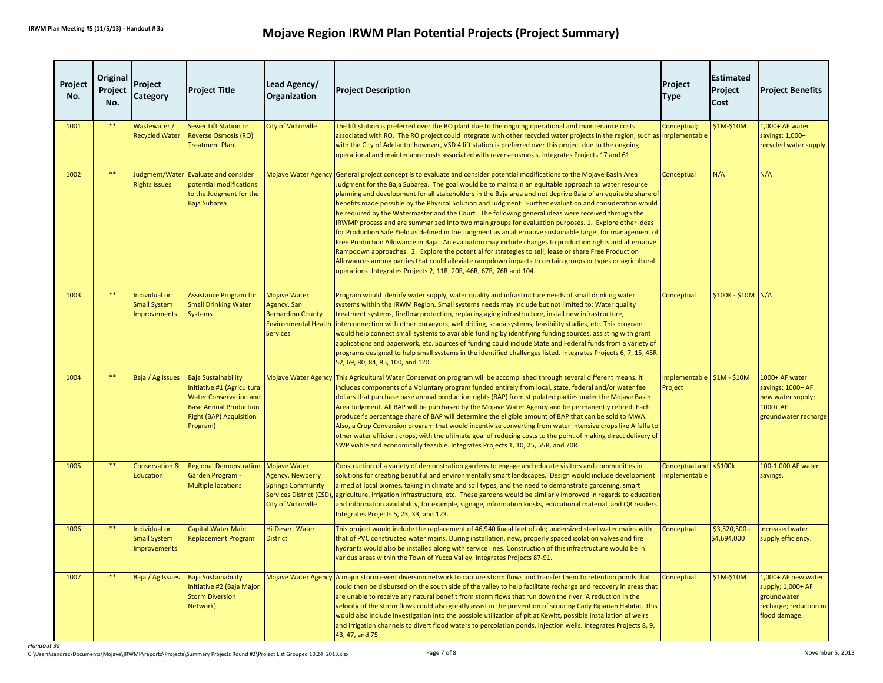| Project<br>No. | Original<br>Project<br>No. | Project<br>Category                                         | <b>Project Title</b>                                                                                                                                                      | Lead Agency/<br>Organization                                                                                                 | <b>Project Description</b>                                                                                                                                                                                                                                                                                                                                                                                                                                                                                                                                                                                                                                                                                                                                                                                                                                                                                                                                                                                                                                                                                                                                                                           | Project<br><b>Type</b>               | <b>Estimated</b><br>Project<br>Cost | <b>Project Benefits</b>                                                                            |
|----------------|----------------------------|-------------------------------------------------------------|---------------------------------------------------------------------------------------------------------------------------------------------------------------------------|------------------------------------------------------------------------------------------------------------------------------|------------------------------------------------------------------------------------------------------------------------------------------------------------------------------------------------------------------------------------------------------------------------------------------------------------------------------------------------------------------------------------------------------------------------------------------------------------------------------------------------------------------------------------------------------------------------------------------------------------------------------------------------------------------------------------------------------------------------------------------------------------------------------------------------------------------------------------------------------------------------------------------------------------------------------------------------------------------------------------------------------------------------------------------------------------------------------------------------------------------------------------------------------------------------------------------------------|--------------------------------------|-------------------------------------|----------------------------------------------------------------------------------------------------|
| 1001           | $***$                      | Wastewater /<br><b>Recycled Water</b>                       | Sewer Lift Station or<br>Reverse Osmosis (RO)<br><b>Treatment Plant</b>                                                                                                   | City of Victorville                                                                                                          | The lift station is preferred over the RO plant due to the ongoing operational and maintenance costs<br>associated with RO. The RO project could integrate with other recycled water projects in the region, such as<br>with the City of Adelanto; however, VSD 4 lift station is preferred over this project due to the ongoing<br>operational and maintenance costs associated with reverse osmosis. Integrates Projects 17 and 61.                                                                                                                                                                                                                                                                                                                                                                                                                                                                                                                                                                                                                                                                                                                                                                | Conceptual;<br>Implementable         | \$1M-\$10M                          | 1,000+ AF water<br>savings; 1,000+<br>recycled water supply.                                       |
| 1002           | **                         | <b>Rights Issues</b>                                        | Judgment/Water Evaluate and consider<br>potential modifications<br>to the Judgment for the<br>Baja Subarea                                                                |                                                                                                                              | Mojave Water Agency General project concept is to evaluate and consider potential modifications to the Mojave Basin Area<br>Judgment for the Baja Subarea. The goal would be to maintain an equitable approach to water resource<br>planning and development for all stakeholders in the Baja area and not deprive Baja of an equitable share of<br>benefits made possible by the Physical Solution and Judgment. Further evaluation and consideration would<br>be required by the Watermaster and the Court. The following general ideas were received through the<br>IRWMP process and are summarized into two main groups for evaluation purposes. 1. Explore other ideas<br>for Production Safe Yield as defined in the Judgment as an alternative sustainable target for management of<br>Free Production Allowance in Baja. An evaluation may include changes to production rights and alternative<br>Rampdown approaches. 2. Explore the potential for strategies to sell, lease or share Free Production<br>Allowances among parties that could alleviate rampdown impacts to certain groups or types or agricultural<br>operations. Integrates Projects 2, 11R, 20R, 46R, 67R, 76R and 104. | Conceptual                           | N/A                                 | N/A                                                                                                |
| 1003           | **                         | Individual or<br><b>Small System</b><br><b>Improvements</b> | <b>Assistance Program for</b><br><b>Small Drinking Water</b><br><b>Systems</b>                                                                                            | <b>Mojave Water</b><br>Agency, San<br><b>Bernardino County</b><br><b>Environmental Health</b><br><b>Services</b>             | Program would identify water supply, water quality and infrastructure needs of small drinking water<br>systems within the IRWM Region. Small systems needs may include but not limited to: Water quality<br>treatment systems, fireflow protection, replacing aging infrastructure, install new infrastructure,<br>interconnection with other purveyors, well drilling, scada systems, feasibility studies, etc. This program<br>would help connect small systems to available funding by identifying funding sources, assisting with grant<br>applications and paperwork, etc. Sources of funding could include State and Federal funds from a variety of<br>programs designed to help small systems in the identified challenges listed. Integrates Projects 6, 7, 15, 45R<br>52, 69, 80, 84, 85, 100, and 120.                                                                                                                                                                                                                                                                                                                                                                                    | Conceptual                           | \$100K - \$10M N/A                  |                                                                                                    |
| 1004           | **                         | Baja / Ag Issues                                            | <b>Baja Sustainability</b><br>Initiative #1 (Agricultural<br><b>Water Conservation and</b><br><b>Base Annual Production</b><br><b>Right (BAP) Acquisition</b><br>Program) | Mojave Water Agency                                                                                                          | This Agricultural Water Conservation program will be accomplished through several different means. It<br>includes components of a Voluntary program funded entirely from local, state, federal and/or water fee<br>dollars that purchase base annual production rights (BAP) from stipulated parties under the Mojave Basin<br>Area Judgment. All BAP will be purchased by the Mojave Water Agency and be permanently retired. Each<br>producer's percentage share of BAP will determine the eligible amount of BAP that can be sold to MWA.<br>Also, a Crop Conversion program that would incentivize converting from water intensive crops like Alfalfa to<br>other water efficient crops, with the ultimate goal of reducing costs to the point of making direct delivery of<br>SWP viable and economically feasible. Integrates Projects 1, 10, 25, 55R, and 70R.                                                                                                                                                                                                                                                                                                                                | mplementable \$1M - \$10M<br>Project |                                     | 1000+ AF water<br>savings; 1000+ AF<br>new water supply;<br>1000+ AF<br>groundwater recharge       |
| 1005           | $***$                      | Conservation &<br><b>Education</b>                          | <b>Regional Demonstration</b><br>Garden Program -<br><b>Multiple locations</b>                                                                                            | <b>Mojave Water</b><br>Agency, Newberry<br><b>Springs Community</b><br>Services District (CSD)<br><b>City of Victorville</b> | Construction of a variety of demonstration gardens to engage and educate visitors and communities in<br>solutions for creating beautiful and environmentally smart landscapes. Design would include development<br>aimed at local biomes, taking in climate and soil types, and the need to demonstrate gardening, smart<br>agriculture, irrigation infrastructure, etc. These gardens would be similarly improved in regards to educatior<br>and information availability, for example, signage, information kiosks, educational material, and QR readers.<br>Integrates Projects 5, 23, 33, and 123.                                                                                                                                                                                                                                                                                                                                                                                                                                                                                                                                                                                               | Conceptual and<br>Implementable      | $<$ \$100 $k$                       | 100-1,000 AF water<br>savings.                                                                     |
| 1006           | $\ast\ast$                 | Individual or<br><b>Small System</b><br><b>Improvements</b> | <b>Capital Water Main</b><br>Replacement Program                                                                                                                          | <b>Hi-Desert Water</b><br><b>District</b>                                                                                    | This project would include the replacement of 46,940 lineal feet of old; undersized steel water mains with<br>that of PVC constructed water mains. During installation, new, properly spaced isolation valves and fire<br>hydrants would also be installed along with service lines. Construction of this infrastructure would be in<br>various areas within the Town of Yucca Valley. Integrates Projects 87-91.                                                                                                                                                                                                                                                                                                                                                                                                                                                                                                                                                                                                                                                                                                                                                                                    | Conceptual                           | \$3,520,500<br>\$4,694,000          | ncreased water<br>supply efficiency.                                                               |
| 1007           | $\ast\ast$                 | Baja / Ag Issues                                            | <b>Baja Sustainability</b><br>Initiative #2 (Baja Major<br><b>Storm Diversion</b><br>Network)                                                                             | <b>Mojave Water Agency</b>                                                                                                   | A major storm event diversion network to capture storm flows and transfer them to retention ponds that<br>could then be disbursed on the south side of the valley to help facilitate recharge and recovery in areas that<br>are unable to receive any natural benefit from storm flows that run down the river. A reduction in the<br>velocity of the storm flows could also greatly assist in the prevention of scouring Cady Riparian Habitat. This<br>would also include investigation into the possible utilization of pit at Kewitt, possible installation of weirs<br>and irrigation channels to divert flood waters to percolation ponds, injection wells. Integrates Projects 8, 9,<br>43, 47, and 75.                                                                                                                                                                                                                                                                                                                                                                                                                                                                                       | Conceptual                           | \$1M-\$10M                          | 1,000+ AF new water<br>supply; 1,000+ AF<br>groundwater<br>recharge; reduction in<br>flood damage. |